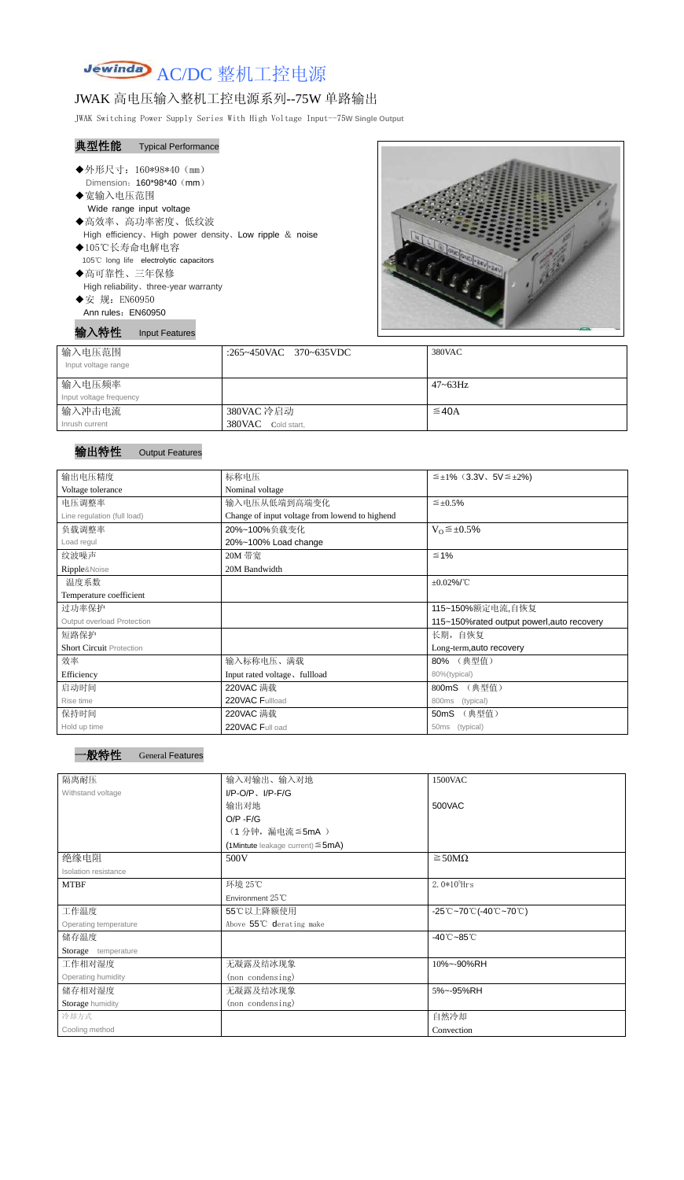

# JWAK 高电压输入整机工控电源系列--75W 单路输出

JWAK Switching Power Supply Series With High Voltage Input--75**W Single Output**

### 典型性能 Typical Performance

| ◆外形尺寸: 160*98*40 (mm)                                      |
|------------------------------------------------------------|
| Dimension: 160*98*40 (mm)                                  |
| ◆宽输入电压范围                                                   |
| Wide range input voltage                                   |
| ◆高效率、高功率密度、低纹波                                             |
| High efficiency, High power density, Low ripple $\&$ noise |
| ◆105℃长寿命电解电容                                               |
| 105°C long life electrolytic capacitors                    |
| ◆高可靠性、三年保修                                                 |
| High reliability, three-year warranty                      |

◆安 规: EN60950 Ann rules: EN60950

输入特性 Input Features



| 输入电压范围<br>Input voltage range | :265~450VAC 370~635VDC | 380VAC       |
|-------------------------------|------------------------|--------------|
| 输入电压频率                        |                        | $47 - 63$ Hz |
| Input voltage frequency       |                        |              |
| 输入冲击电流                        | 380VAC 冷启动             | $\leq$ 40A   |
| Inrush current                | 380VAC Cold start,     |              |

## 输出特性 Output Features

| 输出电压精度                          | 标称电压                                           | $\leq \pm 1\%$ (3.3V, 5V $\leq \pm 2\%$ ) |  |
|---------------------------------|------------------------------------------------|-------------------------------------------|--|
| Voltage tolerance               | Nominal voltage                                |                                           |  |
| 电压调整率                           | 输入电压从低端到高端变化                                   | $\leq \pm 0.5\%$                          |  |
| Line regulation (full load)     | Change of input voltage from lowend to highend |                                           |  |
| 负载调整率                           | 20%~100%负载变化                                   | $V_0 \leq \pm 0.5\%$                      |  |
| Load regul                      | 20%~100% Load change                           |                                           |  |
| 纹波噪声                            | 20M 带宽                                         | $\leq 1\%$                                |  |
| Ripple&Noise                    | 20M Bandwidth                                  |                                           |  |
| 温度系数                            |                                                | $\pm 0.02\%$ /°C                          |  |
| Temperature coefficient         |                                                |                                           |  |
| 过功率保护                           |                                                | 115~150%额定电流,自恢复                          |  |
| Output overload Protection      | 115~150% rated output powerl, auto recovery    |                                           |  |
| 短路保护                            |                                                | 长期, 自恢复                                   |  |
| <b>Short Circuit Protection</b> |                                                | Long-term, auto recovery                  |  |
| 效率                              | 输入标称电压、满载                                      | 80% (典型值)                                 |  |
| Efficiency                      | Input rated voltage, fullload                  | 80%(typical)                              |  |
| 启动时间                            | 220VAC 满载                                      | 800mS (典型值)                               |  |
| Rise time                       | 220VAC Fullload                                | <b>800ms</b><br>(typical)                 |  |
| 保持时间                            | 220VAC 满载                                      | (典型值)<br>50 <sub>m</sub> S                |  |
| Hold up time                    | 220VAC Full oad                                | (typical)<br>50ms                         |  |

| 隔离耐压                  | 输入对输出、输入对地                             | 1500VAC                                                                               |  |
|-----------------------|----------------------------------------|---------------------------------------------------------------------------------------|--|
| Withstand voltage     | $I/P-O/P$ , $I/P-F/G$                  |                                                                                       |  |
|                       | 输出对地                                   | 500VAC                                                                                |  |
|                       | $O/P - F/G$                            |                                                                                       |  |
|                       | (1分钟,漏电流 ≦5mA)                         |                                                                                       |  |
|                       | (1Mintute leakage current) $\leq$ 5mA) |                                                                                       |  |
| 绝缘电阻                  | 500V                                   | $\geq$ 50M $\Omega$                                                                   |  |
| Isolation resistance  |                                        |                                                                                       |  |
| <b>MTBF</b>           | 环境 25℃                                 | 2. $0*10^5$ Hrs                                                                       |  |
|                       | Environment $25^{\circ}$ C             |                                                                                       |  |
| 工作温度                  | 55℃以上降额使用                              | $-25^{\circ}\text{C}-70^{\circ}\text{C}$ (-40 $^{\circ}\text{C}-70^{\circ}\text{C}$ ) |  |
| Operating temperature | Above 55°C derating make               |                                                                                       |  |
| 储存温度                  |                                        | $-40^{\circ}$ C $-85^{\circ}$ C                                                       |  |
| Storage temperature   |                                        |                                                                                       |  |
| 工作相对湿度                | 无凝露及结冰现象                               | 10%~-90%RH                                                                            |  |
| Operating humidity    | (non condensing)                       |                                                                                       |  |
| 储存相对湿度                | 无凝露及结冰现象                               | 5%~-95%RH                                                                             |  |
| Storage humidity      | (non condensing)                       |                                                                                       |  |
| 冷却方式                  |                                        | 自然冷却                                                                                  |  |
| Cooling method        |                                        | Convection                                                                            |  |